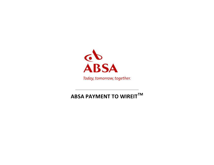

## **ABSA PAYMENT TO WIREITTM**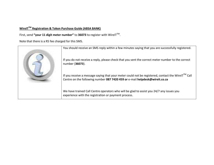## **WireITTM Registration & Token Purchase Guide (ABSA BANK)**

First, send **"your 11 digit meter number"** to **36073** to register with WireITTM .

Note that there is a R5 fee charged for this SMS.

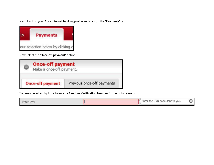Next, log into your Absa internet banking profile and click on the **'Payments'** tab.



Now select the **'Once-off payment'** option.

| <b>Once-off payment</b><br>Make a once-off payment. |                            |  |
|-----------------------------------------------------|----------------------------|--|
| <b>Once-off payment</b>                             | Previous once-off payments |  |

You may be asked by Absa to enter a **Random Verification Number** for security reasons.

Ш

Enter RVN

Enter the RVN code sent to you.

 $\boldsymbol{\omega}$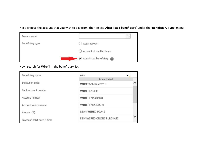Next, choose the account that you wish to pay from, then select **'Absa-listed beneficiary'** under the **'Beneficiary Type'** menu.

| From account     | $\check{ }$             |
|------------------|-------------------------|
| Beneficiary type | Absa account            |
|                  | Account at another bank |
|                  | Absa-listed beneficiary |

Now, search for **WireIT** in the beneficiary list.

| Beneficiary name          | Wire                      | $\times$ |
|---------------------------|---------------------------|----------|
|                           | <b>Absa listed</b>        |          |
| Institution code          | <b>WIREIT-EMNAMBITHI</b>  |          |
| Bank account number       | <b>WIREIT-NMBM</b>        |          |
| Account number            | <b>WIREIT-MAKHADO</b>     |          |
| Accountholder's name      | <b>WIREIT-MDUNDUZI</b>    |          |
| Amount (R)                | DION WIRED LOANS          |          |
| Payment debit date & time | DIONWIRED ONLINE PURCHASE |          |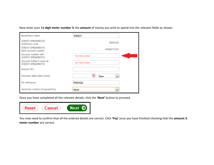Now enter your **11 digit meter number** & the **amount** of money you wish to spend into the relevant fields as shown:

| Beneficiary name                                                                  | WIREIT                |  |
|-----------------------------------------------------------------------------------|-----------------------|--|
| WIREIT-EMNAMBITHI<br>Institution code<br>WIREIT-EMNAMBITHI<br>Bank account number | 0060105<br>4080871415 |  |
| Account number with<br>WIREIT-EMNAMBITHI                                          | Your meter number     |  |
| Account holder's name at<br>WIREIT-EMNAMBITHI                                     | Your meter number     |  |
| Amount (R)                                                                        |                       |  |
| Payment debit date & time                                                         | Now<br>v              |  |
| My reference                                                                      | PREPAID               |  |
| Send me a notice of payment by                                                    | None<br>$\checkmark$  |  |

Once you have completed all the relevant details, click the **'Next'** button to proceed.



You now need to confirm that all the entered details are correct. Click **'Pay'** once you have finished checking that the **amount** & **meter number** are correct.